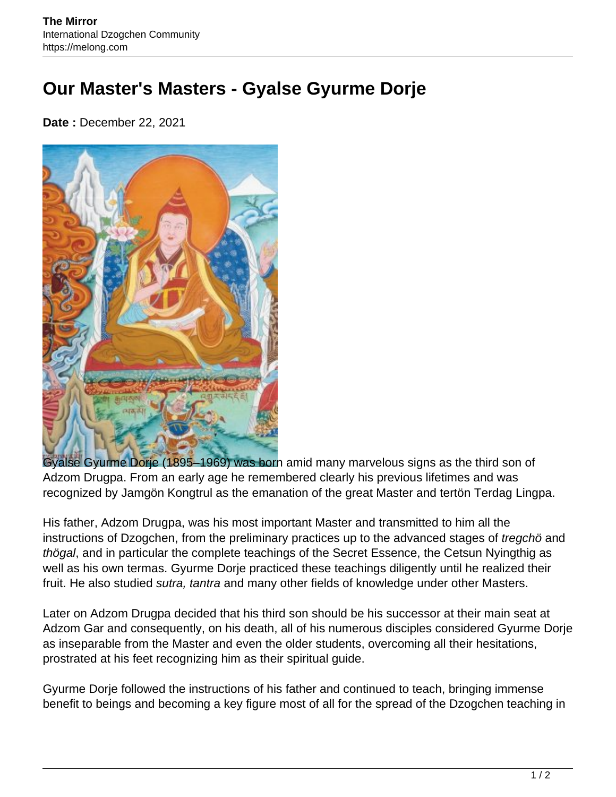## **Our Master's Masters - Gyalse Gyurme Dorje**

**Date :** December 22, 2021



Gyalse Gyurme Dorje (1895–1969) was born amid many marvelous signs as the third son of Adzom Drugpa. From an early age he remembered clearly his previous lifetimes and was recognized by Jamgön Kongtrul as the emanation of the great Master and tertön Terdag Lingpa.

His father, Adzom Drugpa, was his most important Master and transmitted to him all the instructions of Dzogchen, from the preliminary practices up to the advanced stages of tregchö and thögal, and in particular the complete teachings of the Secret Essence, the Cetsun Nyingthig as well as his own termas. Gyurme Dorje practiced these teachings diligently until he realized their fruit. He also studied sutra, tantra and many other fields of knowledge under other Masters.

Later on Adzom Drugpa decided that his third son should be his successor at their main seat at Adzom Gar and consequently, on his death, all of his numerous disciples considered Gyurme Dorje as inseparable from the Master and even the older students, overcoming all their hesitations, prostrated at his feet recognizing him as their spiritual guide.

Gyurme Dorje followed the instructions of his father and continued to teach, bringing immense benefit to beings and becoming a key figure most of all for the spread of the Dzogchen teaching in